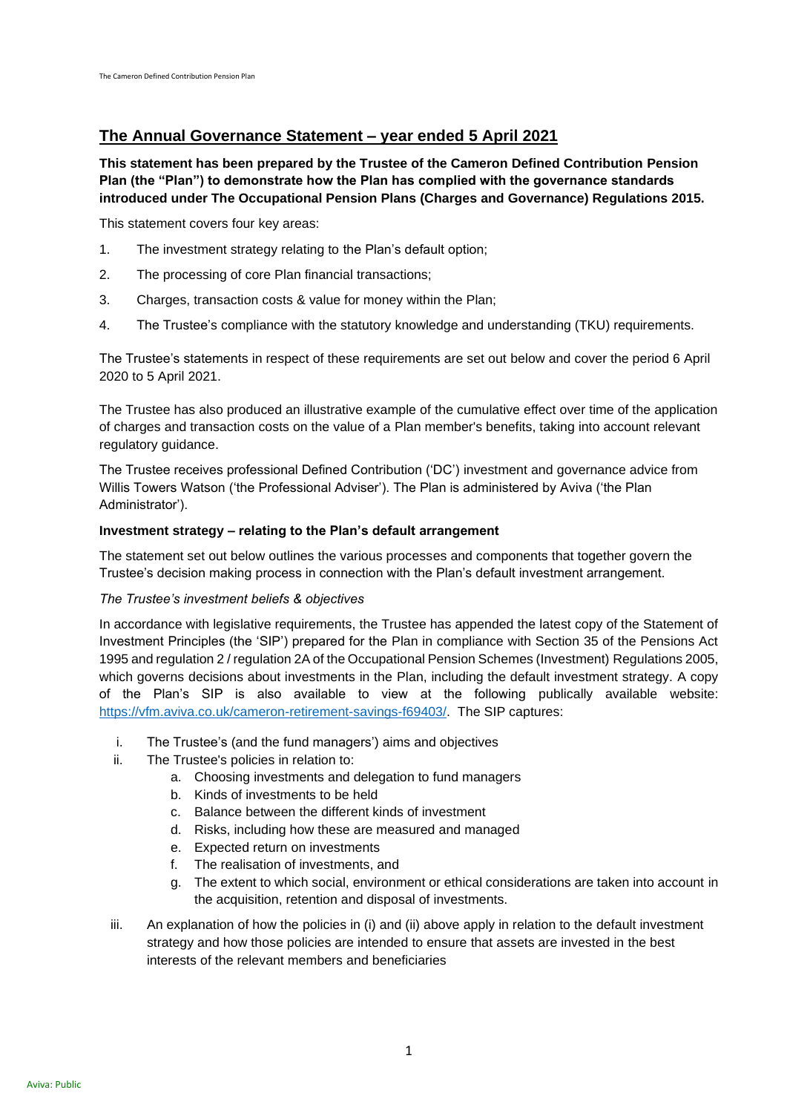# **The Annual Governance Statement – year ended 5 April 2021**

**This statement has been prepared by the Trustee of the Cameron Defined Contribution Pension Plan (the "Plan") to demonstrate how the Plan has complied with the governance standards introduced under The Occupational Pension Plans (Charges and Governance) Regulations 2015.** 

This statement covers four key areas:

- 1. The investment strategy relating to the Plan's default option;
- 2. The processing of core Plan financial transactions;
- 3. Charges, transaction costs & value for money within the Plan;
- 4. The Trustee's compliance with the statutory knowledge and understanding (TKU) requirements.

The Trustee's statements in respect of these requirements are set out below and cover the period 6 April 2020 to 5 April 2021.

The Trustee has also produced an illustrative example of the cumulative effect over time of the application of charges and transaction costs on the value of a Plan member's benefits, taking into account relevant regulatory guidance.

The Trustee receives professional Defined Contribution ('DC') investment and governance advice from Willis Towers Watson ('the Professional Adviser'). The Plan is administered by Aviva ('the Plan Administrator').

# **Investment strategy – relating to the Plan's default arrangement**

The statement set out below outlines the various processes and components that together govern the Trustee's decision making process in connection with the Plan's default investment arrangement.

# *The Trustee's investment beliefs & objectives*

In accordance with legislative requirements, the Trustee has appended the latest copy of the Statement of Investment Principles (the 'SIP') prepared for the Plan in compliance with Section 35 of the Pensions Act 1995 and regulation 2 / regulation 2A of the Occupational Pension Schemes (Investment) Regulations 2005, which governs decisions about investments in the Plan, including the default investment strategy. A copy of the Plan's SIP is also available to view at the following publically available website: [https://vfm.aviva.co.uk/cameron-retirement-savings-f69403/.](https://urldefense.com/v3/__https:/vfm.aviva.co.uk/cameron-retirement-savings-f69403/__;!!Hj9Y_P0nvg!A0mn_KxXnHzp6fNEbxeUSX4EswYO-xeyVcX8BRjYxEnr54F7baj4Ekfd1_HEZzk8FIu6_nEg$) The SIP captures:

- i. The Trustee's (and the fund managers') aims and objectives
- ii. The Trustee's policies in relation to:
	- a. Choosing investments and delegation to fund managers
	- b. Kinds of investments to be held
	- c. Balance between the different kinds of investment
	- d. Risks, including how these are measured and managed
	- e. Expected return on investments
	- f. The realisation of investments, and
	- g. The extent to which social, environment or ethical considerations are taken into account in the acquisition, retention and disposal of investments.
- iii. An explanation of how the policies in (i) and (ii) above apply in relation to the default investment strategy and how those policies are intended to ensure that assets are invested in the best interests of the relevant members and beneficiaries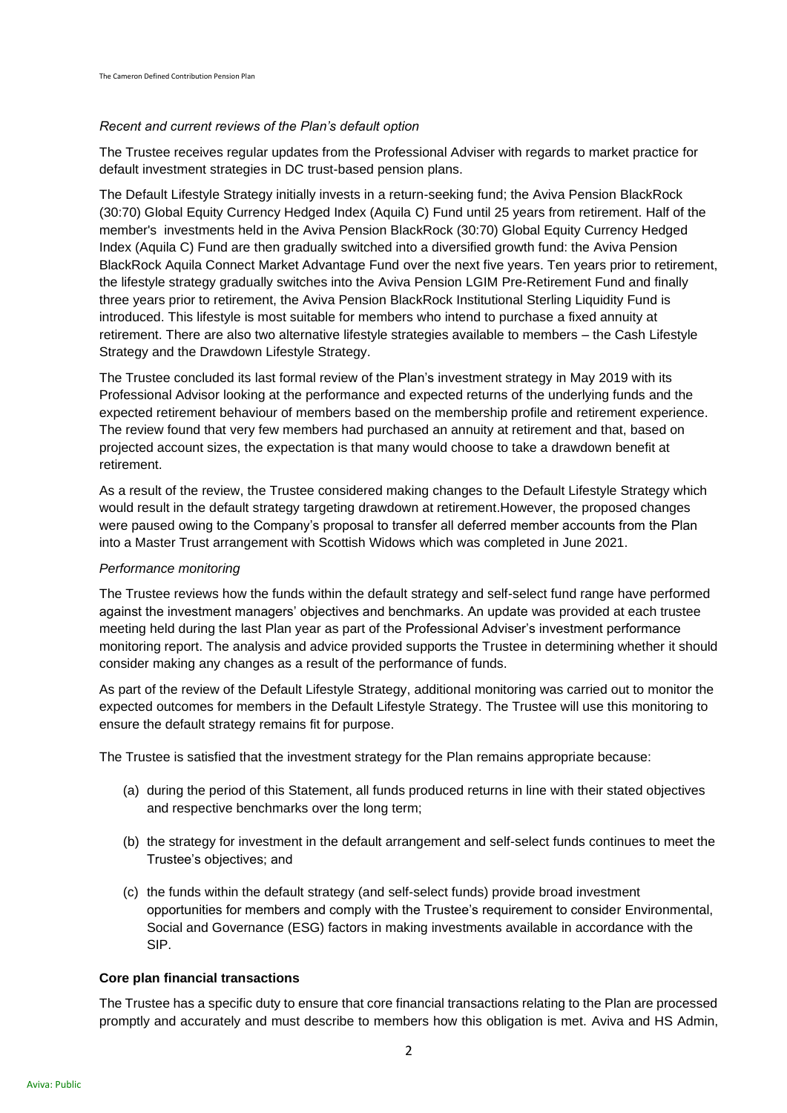## *Recent and current reviews of the Plan's default option*

The Trustee receives regular updates from the Professional Adviser with regards to market practice for default investment strategies in DC trust-based pension plans.

The Default Lifestyle Strategy initially invests in a return-seeking fund; the Aviva Pension BlackRock (30:70) Global Equity Currency Hedged Index (Aquila C) Fund until 25 years from retirement. Half of the member's investments held in the Aviva Pension BlackRock (30:70) Global Equity Currency Hedged Index (Aquila C) Fund are then gradually switched into a diversified growth fund: the Aviva Pension BlackRock Aquila Connect Market Advantage Fund over the next five years. Ten years prior to retirement, the lifestyle strategy gradually switches into the Aviva Pension LGIM Pre-Retirement Fund and finally three years prior to retirement, the Aviva Pension BlackRock Institutional Sterling Liquidity Fund is introduced. This lifestyle is most suitable for members who intend to purchase a fixed annuity at retirement. There are also two alternative lifestyle strategies available to members – the Cash Lifestyle Strategy and the Drawdown Lifestyle Strategy.

The Trustee concluded its last formal review of the Plan's investment strategy in May 2019 with its Professional Advisor looking at the performance and expected returns of the underlying funds and the expected retirement behaviour of members based on the membership profile and retirement experience. The review found that very few members had purchased an annuity at retirement and that, based on projected account sizes, the expectation is that many would choose to take a drawdown benefit at retirement.

As a result of the review, the Trustee considered making changes to the Default Lifestyle Strategy which would result in the default strategy targeting drawdown at retirement.However, the proposed changes were paused owing to the Company's proposal to transfer all deferred member accounts from the Plan into a Master Trust arrangement with Scottish Widows which was completed in June 2021.

### *Performance monitoring*

The Trustee reviews how the funds within the default strategy and self-select fund range have performed against the investment managers' objectives and benchmarks. An update was provided at each trustee meeting held during the last Plan year as part of the Professional Adviser's investment performance monitoring report. The analysis and advice provided supports the Trustee in determining whether it should consider making any changes as a result of the performance of funds.

As part of the review of the Default Lifestyle Strategy, additional monitoring was carried out to monitor the expected outcomes for members in the Default Lifestyle Strategy. The Trustee will use this monitoring to ensure the default strategy remains fit for purpose.

The Trustee is satisfied that the investment strategy for the Plan remains appropriate because:

- (a) during the period of this Statement, all funds produced returns in line with their stated objectives and respective benchmarks over the long term;
- (b) the strategy for investment in the default arrangement and self-select funds continues to meet the Trustee's objectives; and
- (c) the funds within the default strategy (and self-select funds) provide broad investment opportunities for members and comply with the Trustee's requirement to consider Environmental, Social and Governance (ESG) factors in making investments available in accordance with the SIP.

## **Core plan financial transactions**

The Trustee has a specific duty to ensure that core financial transactions relating to the Plan are processed promptly and accurately and must describe to members how this obligation is met. Aviva and HS Admin,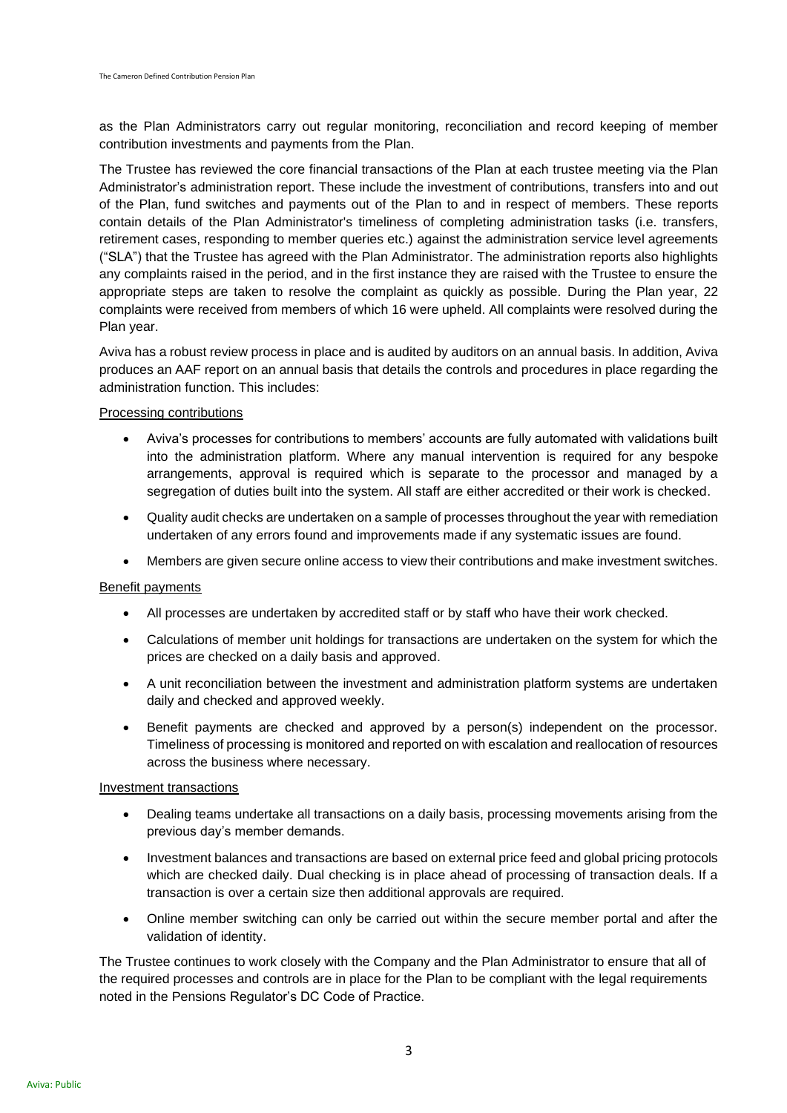as the Plan Administrators carry out regular monitoring, reconciliation and record keeping of member contribution investments and payments from the Plan.

The Trustee has reviewed the core financial transactions of the Plan at each trustee meeting via the Plan Administrator's administration report. These include the investment of contributions, transfers into and out of the Plan, fund switches and payments out of the Plan to and in respect of members. These reports contain details of the Plan Administrator's timeliness of completing administration tasks (i.e. transfers, retirement cases, responding to member queries etc.) against the administration service level agreements ("SLA") that the Trustee has agreed with the Plan Administrator. The administration reports also highlights any complaints raised in the period, and in the first instance they are raised with the Trustee to ensure the appropriate steps are taken to resolve the complaint as quickly as possible. During the Plan year, 22 complaints were received from members of which 16 were upheld. All complaints were resolved during the Plan year.

Aviva has a robust review process in place and is audited by auditors on an annual basis. In addition, Aviva produces an AAF report on an annual basis that details the controls and procedures in place regarding the administration function. This includes:

### Processing contributions

- Aviva's processes for contributions to members' accounts are fully automated with validations built into the administration platform. Where any manual intervention is required for any bespoke arrangements, approval is required which is separate to the processor and managed by a segregation of duties built into the system. All staff are either accredited or their work is checked.
- Quality audit checks are undertaken on a sample of processes throughout the year with remediation undertaken of any errors found and improvements made if any systematic issues are found.
- Members are given secure online access to view their contributions and make investment switches.

## Benefit payments

- All processes are undertaken by accredited staff or by staff who have their work checked.
- Calculations of member unit holdings for transactions are undertaken on the system for which the prices are checked on a daily basis and approved.
- A unit reconciliation between the investment and administration platform systems are undertaken daily and checked and approved weekly.
- Benefit payments are checked and approved by a person(s) independent on the processor. Timeliness of processing is monitored and reported on with escalation and reallocation of resources across the business where necessary.

### Investment transactions

- Dealing teams undertake all transactions on a daily basis, processing movements arising from the previous day's member demands.
- Investment balances and transactions are based on external price feed and global pricing protocols which are checked daily. Dual checking is in place ahead of processing of transaction deals. If a transaction is over a certain size then additional approvals are required.
- Online member switching can only be carried out within the secure member portal and after the validation of identity.

The Trustee continues to work closely with the Company and the Plan Administrator to ensure that all of the required processes and controls are in place for the Plan to be compliant with the legal requirements noted in the Pensions Regulator's DC Code of Practice.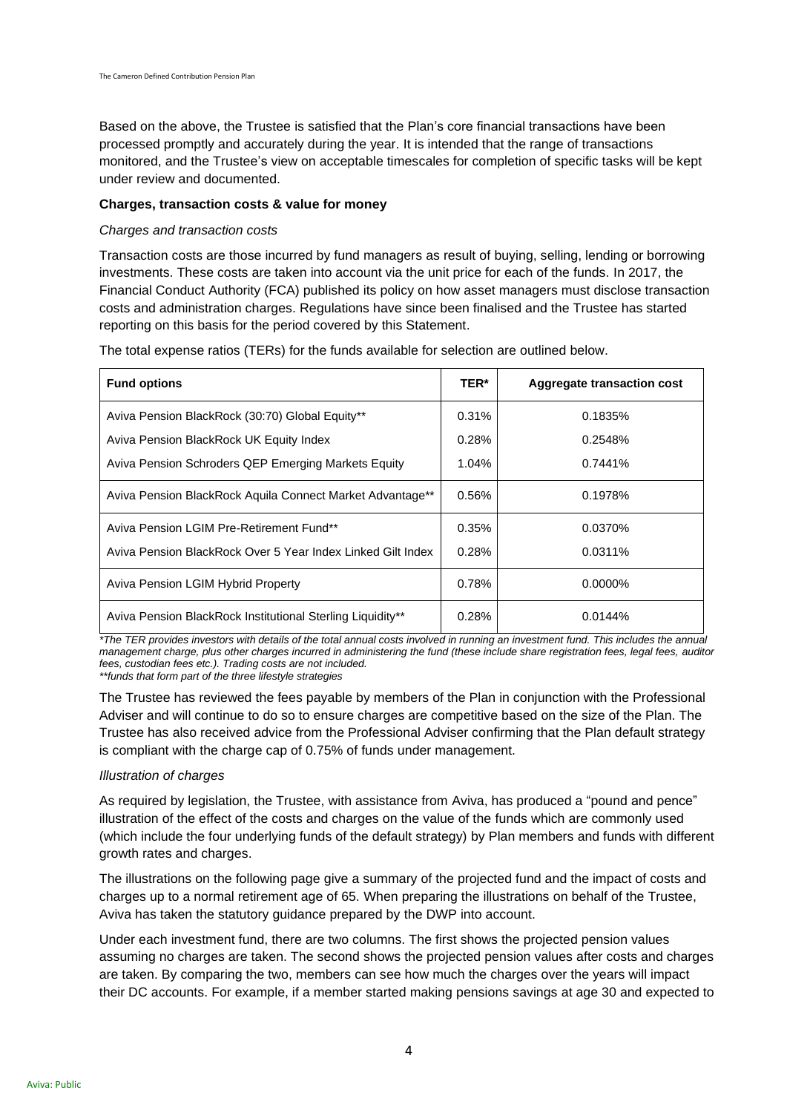Based on the above, the Trustee is satisfied that the Plan's core financial transactions have been processed promptly and accurately during the year. It is intended that the range of transactions monitored, and the Trustee's view on acceptable timescales for completion of specific tasks will be kept under review and documented.

## **Charges, transaction costs & value for money**

## *Charges and transaction costs*

Transaction costs are those incurred by fund managers as result of buying, selling, lending or borrowing investments. These costs are taken into account via the unit price for each of the funds. In 2017, the Financial Conduct Authority (FCA) published its policy on how asset managers must disclose transaction costs and administration charges. Regulations have since been finalised and the Trustee has started reporting on this basis for the period covered by this Statement.

The total expense ratios (TERs) for the funds available for selection are outlined below.

| <b>Fund options</b>                                         | TER*     | Aggregate transaction cost |
|-------------------------------------------------------------|----------|----------------------------|
| Aviva Pension BlackRock (30:70) Global Equity**             | 0.31%    | 0.1835%                    |
| Aviva Pension BlackRock UK Equity Index                     | 0.28%    | 0.2548%                    |
| Aviva Pension Schroders QEP Emerging Markets Equity         | $1.04\%$ | 0.7441%                    |
| Aviva Pension BlackRock Aguila Connect Market Advantage**   | 0.56%    | 0.1978%                    |
| Aviva Pension LGIM Pre-Retirement Fund**                    | 0.35%    | 0.0370%                    |
| Aviva Pension BlackRock Over 5 Year Index Linked Gilt Index | 0.28%    | 0.0311%                    |
| <b>Aviva Pension LGIM Hybrid Property</b>                   | 0.78%    | $0.0000\%$                 |
| Aviva Pension BlackRock Institutional Sterling Liquidity**  | 0.28%    | 0.0144%                    |

*\*The TER provides investors with details of the total annual costs involved in running an investment fund. This includes the annual management charge, plus other charges incurred in administering the fund (these include share registration fees, legal fees, auditor fees, custodian fees etc.). Trading costs are not included. \*\*funds that form part of the three lifestyle strategies*

The Trustee has reviewed the fees payable by members of the Plan in conjunction with the Professional Adviser and will continue to do so to ensure charges are competitive based on the size of the Plan. The Trustee has also received advice from the Professional Adviser confirming that the Plan default strategy is compliant with the charge cap of 0.75% of funds under management.

## *Illustration of charges*

As required by legislation, the Trustee, with assistance from Aviva, has produced a "pound and pence" illustration of the effect of the costs and charges on the value of the funds which are commonly used (which include the four underlying funds of the default strategy) by Plan members and funds with different growth rates and charges.

The illustrations on the following page give a summary of the projected fund and the impact of costs and charges up to a normal retirement age of 65. When preparing the illustrations on behalf of the Trustee, Aviva has taken the statutory guidance prepared by the DWP into account.

Under each investment fund, there are two columns. The first shows the projected pension values assuming no charges are taken. The second shows the projected pension values after costs and charges are taken. By comparing the two, members can see how much the charges over the years will impact their DC accounts. For example, if a member started making pensions savings at age 30 and expected to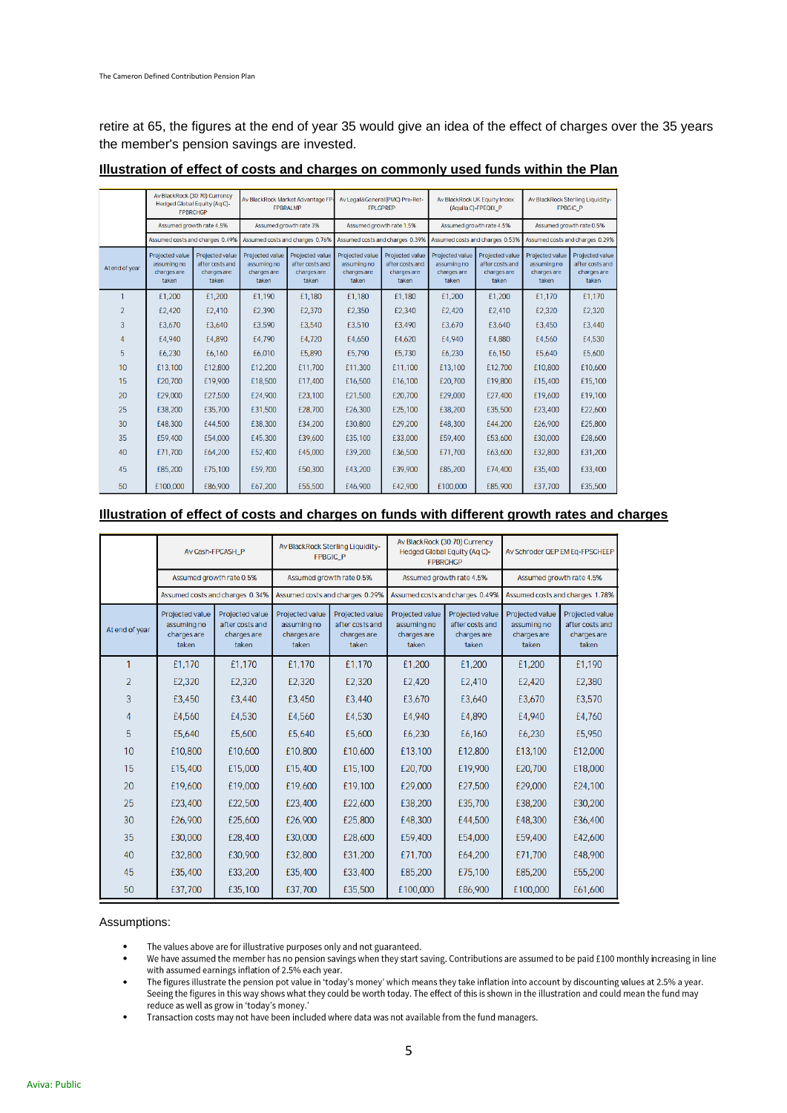retire at 65, the figures at the end of year 35 would give an idea of the effect of charges over the 35 years the member's pension savings are invested.

|                | Av BlackRock (30:70) Currency<br>Hedged Global Equity (Aq C)-<br><b>FPBRCHGP</b> |                                                            | Av BlackRock Market Advantage FP<br><b>FPBRALMP</b>       |                                                            | Av Legal&General(PMC) Pre-Ret-<br><b>FPLGPREP</b>           |                                                            | Av BlackRock UK Equity Index<br>(Aquila C)-FPEQIX_P         |                                                            | Av BlackRock Sterling Liquidity-<br>FPBGIC_P                |                                                            |
|----------------|----------------------------------------------------------------------------------|------------------------------------------------------------|-----------------------------------------------------------|------------------------------------------------------------|-------------------------------------------------------------|------------------------------------------------------------|-------------------------------------------------------------|------------------------------------------------------------|-------------------------------------------------------------|------------------------------------------------------------|
|                | Assumed growth rate 4.5%<br>Assumed costs and charges 0.49%                      |                                                            | Assumed growth rate 3%<br>Assumed costs and charges 0.76% |                                                            | Assumed growth rate 1.5%<br>Assumed costs and charges 0.39% |                                                            | Assumed growth rate 4.5%<br>Assumed costs and charges 0.53% |                                                            | Assumed growth rate 0.5%<br>Assumed costs and charges 0.29% |                                                            |
|                |                                                                                  |                                                            |                                                           |                                                            |                                                             |                                                            |                                                             |                                                            |                                                             |                                                            |
| At end of year | Projected value<br>assuming no<br>charges are<br>taken                           | Projected value<br>after costs and<br>charges are<br>taken | Projected value<br>assuming no<br>charges are<br>taken    | Projected value<br>after costs and<br>charges are<br>taken | Projected value<br>assuming no<br>charges are<br>taken      | Projected value<br>after costs and<br>charges are<br>taken | Projected value<br>assuming no<br>charges are<br>taken      | Projected value<br>after costs and<br>charges are<br>taken | Projected value<br>assuming no<br>charges are<br>taken      | Projected value<br>after costs and<br>charges are<br>taken |
|                | £1,200                                                                           | £1,200                                                     | £1,190                                                    | £1.180                                                     | £1.180                                                      | £1.180                                                     | £1,200                                                      | £1,200                                                     | £1.170                                                      | £1,170                                                     |
| $\overline{2}$ | £2,420                                                                           | £2,410                                                     | £2,390                                                    | £2,370                                                     | £2,350                                                      | £2,340                                                     | £2,420                                                      | £2,410                                                     | £2,320                                                      | £2,320                                                     |
| $\overline{3}$ | £3,670                                                                           | £3,640                                                     | £3,590                                                    | £3,540                                                     | £3,510                                                      | £3,490                                                     | £3,670                                                      | £3,640                                                     | £3,450                                                      | £3,440                                                     |
| 4              | £4.940                                                                           | £4,890                                                     | £4,790                                                    | £4,720                                                     | £4,650                                                      | £4,620                                                     | £4.940                                                      | £4,880                                                     | £4,560                                                      | £4,530                                                     |
| 5              | £6.230                                                                           | £6,160                                                     | £6,010                                                    | £5,890                                                     | £5,790                                                      | £5,730                                                     | £6,230                                                      | £6,150                                                     | £5,640                                                      | £5,600                                                     |
| 10             | £13,100                                                                          | £12,800                                                    | £12,200                                                   | £11,700                                                    | £11,300                                                     | £11,100                                                    | £13,100                                                     | £12,700                                                    | £10,800                                                     | £10,600                                                    |
| 15             | £20,700                                                                          | £19,900                                                    | £18,500                                                   | £17,400                                                    | £16,500                                                     | £16,100                                                    | £20,700                                                     | £19,800                                                    | £15,400                                                     | £15,100                                                    |
| 20             | £29,000                                                                          | £27.500                                                    | £24,900                                                   | £23,100                                                    | £21,500                                                     | £20,700                                                    | £29,000                                                     | £27,400                                                    | £19,600                                                     | £19,100                                                    |
| 25             | £38,200                                                                          | £35,700                                                    | £31,500                                                   | £28,700                                                    | £26,300                                                     | £25,100                                                    | £38,200                                                     | £35,500                                                    | £23,400                                                     | £22,600                                                    |
| 30             | £48,300                                                                          | £44,500                                                    | £38,300                                                   | £34,200                                                    | £30,800                                                     | £29,200                                                    | £48,300                                                     | £44,200                                                    | £26,900                                                     | £25,800                                                    |
| 35             | £59,400                                                                          | £54,000                                                    | £45,300                                                   | £39,600                                                    | £35,100                                                     | £33,000                                                    | £59,400                                                     | £53,600                                                    | £30,000                                                     | £28,600                                                    |
| 40             | £71,700                                                                          | £64,200                                                    | £52,400                                                   | £45,000                                                    | £39,200                                                     | £36,500                                                    | £71,700                                                     | £63,600                                                    | £32,800                                                     | £31,200                                                    |
| 45             | £85,200                                                                          | £75,100                                                    | £59,700                                                   | £50,300                                                    | £43,200                                                     | £39,900                                                    | £85,200                                                     | £74,400                                                    | £35,400                                                     | £33,400                                                    |
| 50             | £100,000                                                                         | £86,900                                                    | £67,200                                                   | £55,500                                                    | £46,900                                                     | £42,900                                                    | £100,000                                                    | £85,900                                                    | £37,700                                                     | £35,500                                                    |

### **Illustration of effect of costs and charges on commonly used funds within the Plan**

# **Illustration of effect of costs and charges on funds with different growth rates and charges**

|                |                                                        | Av Cash-FPCASH_P                                           |                                                        | Av BlackRock Sterling Liquidity-<br><b>FPBGIC P</b>        |                                                        | Av BlackRock (30:70) Currency<br>Hedged Global Equity (Aq C)-<br><b>FPBRCHGP</b> |                                                        | Av Schroder QEP EM Eq-FPSCHEEP                             |  |
|----------------|--------------------------------------------------------|------------------------------------------------------------|--------------------------------------------------------|------------------------------------------------------------|--------------------------------------------------------|----------------------------------------------------------------------------------|--------------------------------------------------------|------------------------------------------------------------|--|
|                | Assumed growth rate 0.5%                               |                                                            | Assumed growth rate 0.5%                               |                                                            | Assumed growth rate 4.5%                               |                                                                                  | Assumed growth rate 4.5%                               |                                                            |  |
|                | Assumed costs and charges 0.34%                        |                                                            | Assumed costs and charges 0.29%                        |                                                            | Assumed costs and charges 0.49%                        |                                                                                  | Assumed costs and charges 1.78%                        |                                                            |  |
| At end of year | Projected value<br>assuming no<br>charges are<br>taken | Projected value<br>after costs and<br>charges are<br>taken | Projected value<br>assuming no<br>charges are<br>taken | Projected value<br>after costs and<br>charges are<br>taken | Projected value<br>assuming no<br>charges are<br>taken | Projected value<br>after costs and<br>charges are<br>taken                       | Projected value<br>assuming no<br>charges are<br>taken | Projected value<br>after costs and<br>charges are<br>taken |  |
| 1              | £1,170                                                 | £1,170                                                     | £1,170                                                 | £1,170                                                     | £1,200                                                 | £1,200                                                                           | £1,200                                                 | £1,190                                                     |  |
| $\overline{2}$ | £2,320                                                 | £2,320                                                     | £2,320                                                 | £2,320                                                     | £2,420                                                 | £2,410                                                                           | £2,420                                                 | £2,380                                                     |  |
| 3              | £3,450                                                 | £3,440                                                     | £3,450                                                 | £3,440                                                     | £3,670                                                 | £3,640                                                                           | £3,670                                                 | £3,570                                                     |  |
| 4              | £4,560                                                 | £4,530                                                     | £4,560                                                 | £4,530                                                     | £4,940                                                 | £4,890                                                                           | £4,940                                                 | £4,760                                                     |  |
| 5              | £5,640                                                 | £5,600                                                     | £5,640                                                 | £5,600                                                     | £6,230                                                 | £6,160                                                                           | £6,230                                                 | £5,950                                                     |  |
| 10             | £10,800                                                | £10,600                                                    | £10,800                                                | £10,600                                                    | £13,100                                                | £12,800                                                                          | £13,100                                                | £12,000                                                    |  |
| 15             | £15,400                                                | £15,000                                                    | £15,400                                                | £15,100                                                    | £20,700                                                | £19,900                                                                          | £20,700                                                | £18,000                                                    |  |
| 20             | £19,600                                                | £19,000                                                    | £19,600                                                | £19,100                                                    | £29,000                                                | £27,500                                                                          | £29,000                                                | £24,100                                                    |  |
| 25             | £23,400                                                | £22,500                                                    | £23,400                                                | £22,600                                                    | £38,200                                                | £35,700                                                                          | £38,200                                                | £30,200                                                    |  |
| 30             | £26,900                                                | £25,600                                                    | £26,900                                                | £25,800                                                    | £48,300                                                | £44,500                                                                          | £48,300                                                | £36,400                                                    |  |
| 35             | £30,000                                                | £28,400                                                    | £30,000                                                | £28,600                                                    | £59,400                                                | £54,000                                                                          | £59,400                                                | £42,600                                                    |  |
| 40             | £32,800                                                | £30,900                                                    | £32,800                                                | £31,200                                                    | £71,700                                                | £64,200                                                                          | £71,700                                                | £48,900                                                    |  |
| 45             | £35,400                                                | £33,200                                                    | £35,400                                                | £33,400                                                    | £85,200                                                | £75,100                                                                          | £85,200                                                | £55,200                                                    |  |
| 50             | £37,700                                                | £35,100                                                    | £37,700                                                | £35,500                                                    | £100,000                                               | £86,900                                                                          | £100,000                                               | £61,600                                                    |  |

### Assumptions:

- The values above are for illustrative purposes only and not guaranteed. •
- We have assumed the member has no pension savings when they start saving. Contributions are assumed to be paid £100 monthly increasing in line • with assumed earnings inflation of 2.5% each year.
- The figures illustrate the pension pot value in 'today's money' which means they take inflation into account by discounting values at 2.5% a year. • Seeing the figures in this way shows what they could be worth today. The effect of this is shown in the illustration and could mean the fund may reduce as well as grow in 'today's money.'
- Transaction costs may not have been included where data was not available from the fund managers. •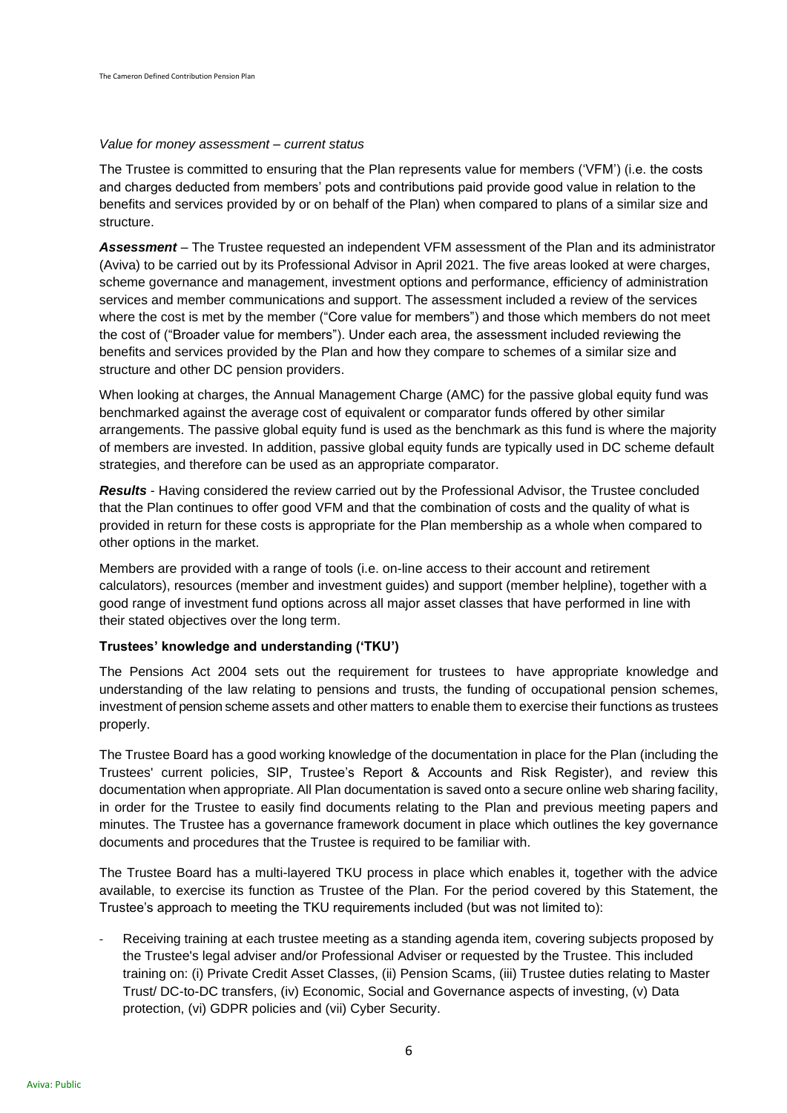#### *Value for money assessment – current status*

The Trustee is committed to ensuring that the Plan represents value for members ('VFM') (i.e. the costs and charges deducted from members' pots and contributions paid provide good value in relation to the benefits and services provided by or on behalf of the Plan) when compared to plans of a similar size and structure.

*Assessment* – The Trustee requested an independent VFM assessment of the Plan and its administrator (Aviva) to be carried out by its Professional Advisor in April 2021. The five areas looked at were charges, scheme governance and management, investment options and performance, efficiency of administration services and member communications and support. The assessment included a review of the services where the cost is met by the member ("Core value for members") and those which members do not meet the cost of ("Broader value for members"). Under each area, the assessment included reviewing the benefits and services provided by the Plan and how they compare to schemes of a similar size and structure and other DC pension providers.

When looking at charges, the Annual Management Charge (AMC) for the passive global equity fund was benchmarked against the average cost of equivalent or comparator funds offered by other similar arrangements. The passive global equity fund is used as the benchmark as this fund is where the majority of members are invested. In addition, passive global equity funds are typically used in DC scheme default strategies, and therefore can be used as an appropriate comparator.

*Results* - Having considered the review carried out by the Professional Advisor, the Trustee concluded that the Plan continues to offer good VFM and that the combination of costs and the quality of what is provided in return for these costs is appropriate for the Plan membership as a whole when compared to other options in the market.

Members are provided with a range of tools (i.e. on-line access to their account and retirement calculators), resources (member and investment guides) and support (member helpline), together with a good range of investment fund options across all major asset classes that have performed in line with their stated objectives over the long term.

### **Trustees' knowledge and understanding ('TKU')**

The Pensions Act 2004 sets out the requirement for trustees to have appropriate knowledge and understanding of the law relating to pensions and trusts, the funding of occupational pension schemes, investment of pension scheme assets and other matters to enable them to exercise their functions as trustees properly.

The Trustee Board has a good working knowledge of the documentation in place for the Plan (including the Trustees' current policies, SIP, Trustee's Report & Accounts and Risk Register), and review this documentation when appropriate. All Plan documentation is saved onto a secure online web sharing facility, in order for the Trustee to easily find documents relating to the Plan and previous meeting papers and minutes. The Trustee has a governance framework document in place which outlines the key governance documents and procedures that the Trustee is required to be familiar with.

The Trustee Board has a multi-layered TKU process in place which enables it, together with the advice available, to exercise its function as Trustee of the Plan. For the period covered by this Statement, the Trustee's approach to meeting the TKU requirements included (but was not limited to):

Receiving training at each trustee meeting as a standing agenda item, covering subjects proposed by the Trustee's legal adviser and/or Professional Adviser or requested by the Trustee. This included training on: (i) Private Credit Asset Classes, (ii) Pension Scams, (iii) Trustee duties relating to Master Trust/ DC-to-DC transfers, (iv) Economic, Social and Governance aspects of investing, (v) Data protection, (vi) GDPR policies and (vii) Cyber Security.